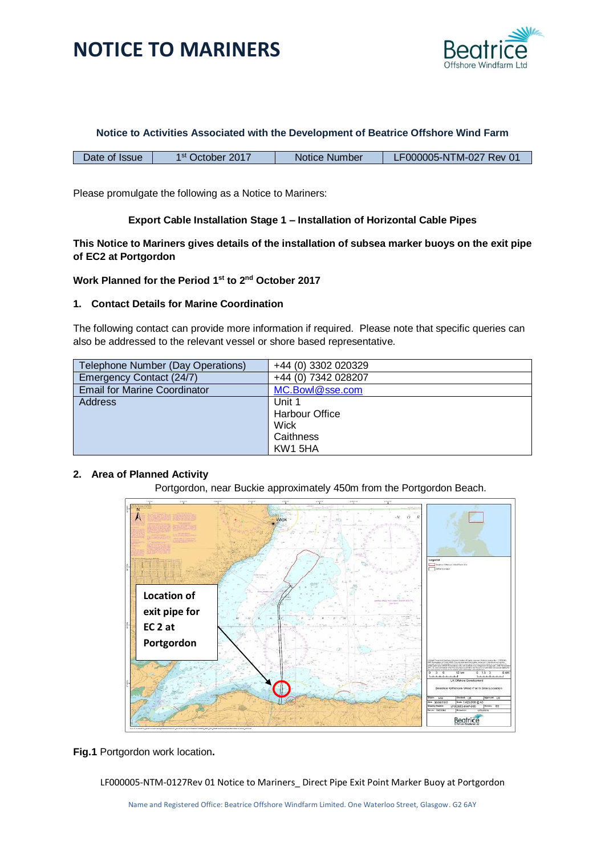

#### **Notice to Activities Associated with the Development of Beatrice Offshore Wind Farm**

Please promulgate the following as a Notice to Mariners:

### **Export Cable Installation Stage 1 – Installation of Horizontal Cable Pipes**

**This Notice to Mariners gives details of the installation of subsea marker buoys on the exit pipe of EC2 at Portgordon**

**Work Planned for the Period 1 st to 2nd October 2017**

#### **1. Contact Details for Marine Coordination**

The following contact can provide more information if required. Please note that specific queries can also be addressed to the relevant vessel or shore based representative.

| Telephone Number (Day Operations)   | +44 (0) 3302 020329   |
|-------------------------------------|-----------------------|
| Emergency Contact (24/7)            | +44 (0) 7342 028207   |
| <b>Email for Marine Coordinator</b> | MC.Bowl@sse.com       |
| Address                             | Unit 1                |
|                                     | <b>Harbour Office</b> |
|                                     | Wick                  |
|                                     | Caithness             |
|                                     | KW1 5HA               |

### **2. Area of Planned Activity**

Portgordon, near Buckie approximately 450m from the Portgordon Beach.



**Fig.1** Portgordon work location**.**

LF000005-NTM-0127Rev 01 Notice to Mariners\_ Direct Pipe Exit Point Marker Buoy at Portgordon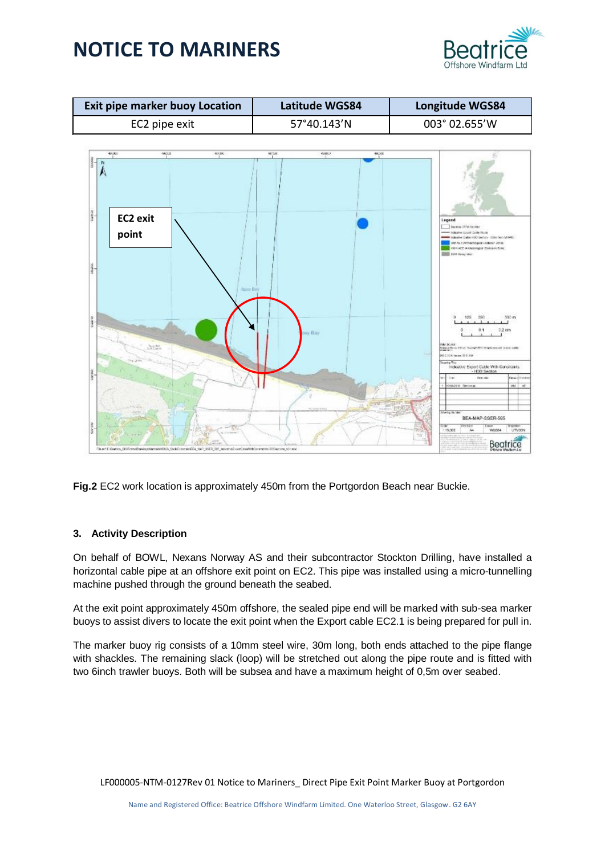



**Fig.2** EC2 work location is approximately 450m from the Portgordon Beach near Buckie.

### **3. Activity Description**

On behalf of BOWL, Nexans Norway AS and their subcontractor Stockton Drilling, have installed a horizontal cable pipe at an offshore exit point on EC2. This pipe was installed using a micro-tunnelling machine pushed through the ground beneath the seabed.

At the exit point approximately 450m offshore, the sealed pipe end will be marked with sub-sea marker buoys to assist divers to locate the exit point when the Export cable EC2.1 is being prepared for pull in.

The marker buoy rig consists of a 10mm steel wire, 30m long, both ends attached to the pipe flange with shackles. The remaining slack (loop) will be stretched out along the pipe route and is fitted with two 6inch trawler buoys. Both will be subsea and have a maximum height of 0,5m over seabed.

LF000005-NTM-0127Rev 01 Notice to Mariners\_ Direct Pipe Exit Point Marker Buoy at Portgordon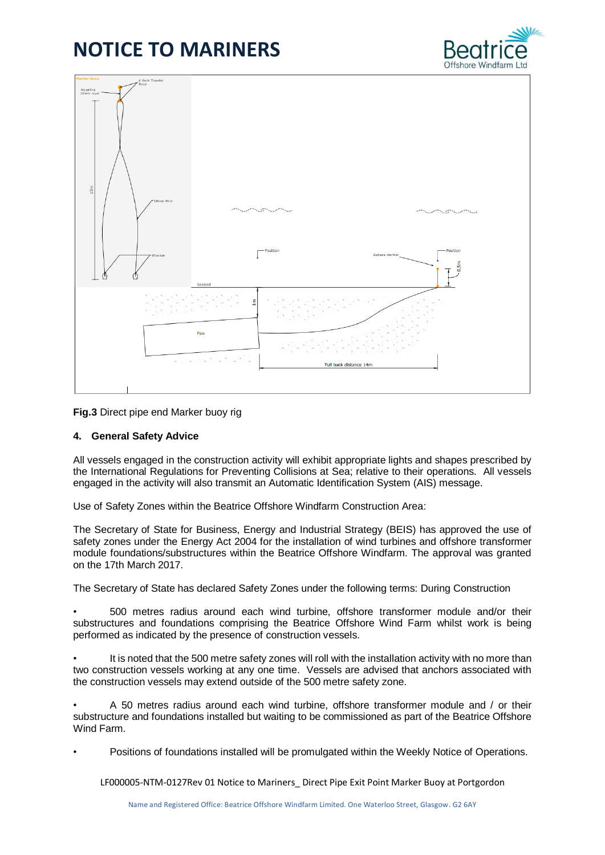



**Fig.3** Direct pipe end Marker buoy rig

#### **4. General Safety Advice**

All vessels engaged in the construction activity will exhibit appropriate lights and shapes prescribed by the International Regulations for Preventing Collisions at Sea; relative to their operations. All vessels engaged in the activity will also transmit an Automatic Identification System (AIS) message.

Use of Safety Zones within the Beatrice Offshore Windfarm Construction Area:

The Secretary of State for Business, Energy and Industrial Strategy (BEIS) has approved the use of safety zones under the Energy Act 2004 for the installation of wind turbines and offshore transformer module foundations/substructures within the Beatrice Offshore Windfarm. The approval was granted on the 17th March 2017.

The Secretary of State has declared Safety Zones under the following terms: During Construction

• 500 metres radius around each wind turbine, offshore transformer module and/or their substructures and foundations comprising the Beatrice Offshore Wind Farm whilst work is being performed as indicated by the presence of construction vessels.

• It is noted that the 500 metre safety zones will roll with the installation activity with no more than two construction vessels working at any one time. Vessels are advised that anchors associated with the construction vessels may extend outside of the 500 metre safety zone.

• A 50 metres radius around each wind turbine, offshore transformer module and / or their substructure and foundations installed but waiting to be commissioned as part of the Beatrice Offshore Wind Farm.

• Positions of foundations installed will be promulgated within the Weekly Notice of Operations.

LF000005-NTM-0127Rev 01 Notice to Mariners\_ Direct Pipe Exit Point Marker Buoy at Portgordon